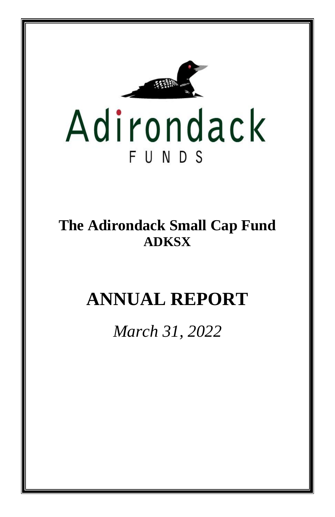

**The Adirondack Small Cap Fund ADKSX**

# **ANNUAL REPORT**

*March 31, 2022*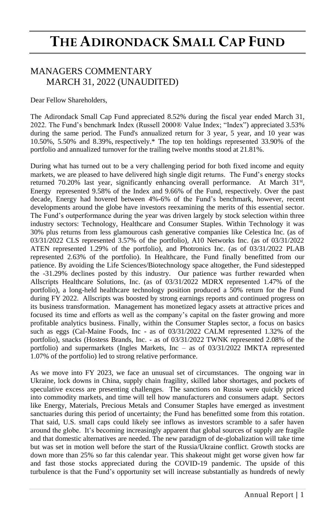### MANAGERS COMMENTARY MARCH 31, 2022 (UNAUDITED)

Dear Fellow Shareholders,

The Adirondack Small Cap Fund appreciated 8.52% during the fiscal year ended March 31, 2022. The Fund's benchmark Index (Russell 2000® Value Index; "Index") appreciated 3.53% during the same period. The Fund's annualized return for 3 year, 5 year, and 10 year was 10.50%, 5.50% and 8.39%, respectively.\* The top ten holdings represented 33.90% of the portfolio and annualized turnover for the trailing twelve months stood at 21.81%.

During what has turned out to be a very challenging period for both fixed income and equity markets, we are pleased to have delivered high single digit returns. The Fund's energy stocks returned 70.20% last year, significantly enhancing overall performance. At March 31<sup>st</sup>, Energy represented 9.58% of the Index and 9.66% of the Fund, respectively. Over the past decade, Energy had hovered between 4%-6% of the Fund's benchmark, however, recent developments around the globe have investors reexamining the merits of this essential sector. The Fund's outperformance during the year was driven largely by stock selection within three industry sectors: Technology, Healthcare and Consumer Staples. Within Technology it was 30% plus returns from less glamourous cash generative companies like Celestica Inc. (as of 03/31/2022 CLS represented 3.57% of the portfolio), A10 Networks Inc. (as of 03/31/2022 ATEN represented 1.29% of the portfolio), and Photronics Inc. (as of 03/31/2022 PLAB represented 2.63% of the portfolio). In Healthcare, the Fund finally benefitted from our patience. By avoiding the Life Sciences/Biotechnology space altogether, the Fund sidestepped the -31.29% declines posted by this industry. Our patience was further rewarded when Allscripts Healthcare Solutions, Inc. (as of 03/31/2022 MDRX represented 1.47% of the portfolio), a long-held healthcare technology position produced a 50% return for the Fund during FY 2022. Allscripts was boosted by strong earnings reports and continued progress on its business transformation. Management has monetized legacy assets at attractive prices and focused its time and efforts as well as the company's capital on the faster growing and more profitable analytics business. Finally, within the Consumer Staples sector, a focus on basics such as eggs (Cal-Maine Foods, Inc - as of 03/31/2022 CALM represented 1.32% of the portfolio), snacks (Hostess Brands, Inc. - as of 03/31/2022 TWNK represented 2.08% of the portfolio) and supermarkets (Ingles Markets, Inc – as of 03/31/2022 IMKTA represented 1.07% of the portfolio) led to strong relative performance.

As we move into FY 2023, we face an unusual set of circumstances. The ongoing war in Ukraine, lock downs in China, supply chain fragility, skilled labor shortages, and pockets of speculative excess are presenting challenges. The sanctions on Russia were quickly priced into commodity markets, and time will tell how manufacturers and consumers adapt. Sectors like Energy, Materials, Precious Metals and Consumer Staples have emerged as investment sanctuaries during this period of uncertainty; the Fund has benefitted some from this rotation. That said, U.S. small caps could likely see inflows as investors scramble to a safer haven around the globe. It's becoming increasingly apparent that global sources of supply are fragile and that domestic alternatives are needed. The new paradigm of de-globalization will take time but was set in motion well before the start of the Russia/Ukraine conflict. Growth stocks are down more than 25% so far this calendar year. This shakeout might get worse given how far and fast those stocks appreciated during the COVID-19 pandemic. The upside of this turbulence is that the Fund's opportunity set will increase substantially as hundreds of newly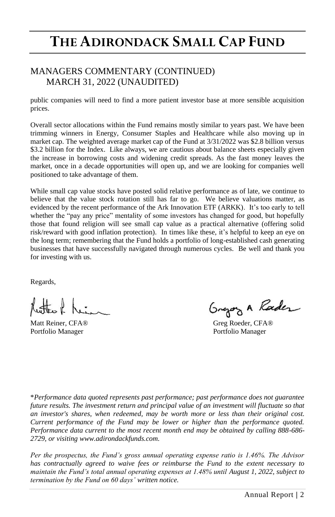### MANAGERS COMMENTARY (CONTINUED) MARCH 31, 2022 (UNAUDITED)

public companies will need to find a more patient investor base at more sensible acquisition prices.

Overall sector allocations within the Fund remains mostly similar to years past. We have been trimming winners in Energy, Consumer Staples and Healthcare while also moving up in market cap. The weighted average market cap of the Fund at 3/31/2022 was \$2.8 billion versus \$3.2 billion for the Index. Like always, we are cautious about balance sheets especially given the increase in borrowing costs and widening credit spreads. As the fast money leaves the market, once in a decade opportunities will open up, and we are looking for companies well positioned to take advantage of them.

While small cap value stocks have posted solid relative performance as of late, we continue to believe that the value stock rotation still has far to go. We believe valuations matter, as evidenced by the recent performance of the Ark Innovation ETF (ARKK). It's too early to tell whether the "pay any price" mentality of some investors has changed for good, but hopefully those that found religion will see small cap value as a practical alternative (offering solid risk/reward with good inflation protection). In times like these, it's helpful to keep an eye on the long term; remembering that the Fund holds a portfolio of long-established cash generating businesses that have successfully navigated through numerous cycles. Be well and thank you for investing with us.

Regards,

Portfolio Manager **Portfolio Manager** Portfolio Manager

Gregory A Rader

Matt Reiner, CFA® Greg Roeder, CFA®

\**Performance data quoted represents past performance; past performance does not guarantee*  future results. The investment return and principal value of an investment will fluctuate so that *an investor's shares, when redeemed, may be worth more or less than their original cost. Current performance of the Fund may be lower or higher than the performance quoted. Performance data current to the most recent month end may be obtained by calling 888-686- 2729, or visiting www.adirondackfunds.com.*

*Per the prospectus, the Fund's gross annual operating expense ratio is 1.46%. The Advisor has contractually agreed to waive fees or reimburse the Fund to the extent necessary to maintain the Fund's total annual operating expenses at 1.48% until August 1, 2022, subject to termination by the Fund on 60 days' written notice.*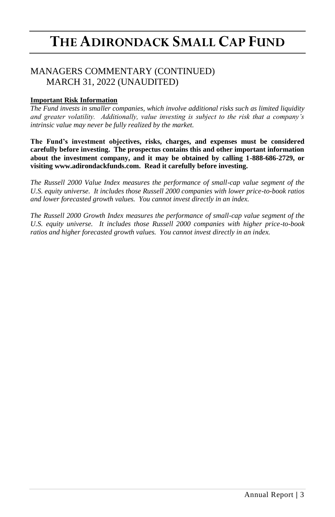### MANAGERS COMMENTARY (CONTINUED) MARCH 31, 2022 (UNAUDITED)

### **Important Risk Information**

*The Fund invests in smaller companies, which involve additional risks such as limited liquidity and greater volatility. Additionally, value investing is subject to the risk that a company's intrinsic value may never be fully realized by the market.*

**The Fund's investment objectives, risks, charges, and expenses must be considered carefully before investing. The prospectus contains this and other important information about the investment company, and it may be obtained by calling 1-888-686-2729, or visiting www.adirondackfunds.com. Read it carefully before investing.**

*The Russell 2000 Value Index measures the performance of small-cap value segment of the U.S. equity universe. It includes those Russell 2000 companies with lower price-to-book ratios and lower forecasted growth values. You cannot invest directly in an index.*

*The Russell 2000 Growth Index measures the performance of small-cap value segment of the U.S. equity universe. It includes those Russell 2000 companies with higher price-to-book ratios and higher forecasted growth values. You cannot invest directly in an index.*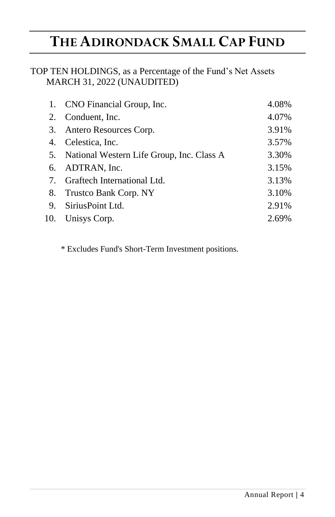## TOP TEN HOLDINGS, as a Percentage of the Fund's Net Assets MARCH 31, 2022 (UNAUDITED)

| 1. CNO Financial Group, Inc.                 | 4.08% |
|----------------------------------------------|-------|
| 2. Conduent, Inc.                            | 4.07% |
| 3. Antero Resources Corp.                    | 3.91% |
| 4. Celestica, Inc.                           | 3.57% |
| 5. National Western Life Group, Inc. Class A | 3.30% |
| 6. ADTRAN, Inc.                              | 3.15% |
| 7. Graftech International Ltd.               | 3.13% |
| 8. Trustco Bank Corp. NY                     | 3.10% |
| 9. Sirius Point Ltd.                         | 2.91% |
| 10. Unisys Corp.                             | 2.69% |

\* Excludes Fund's Short-Term Investment positions.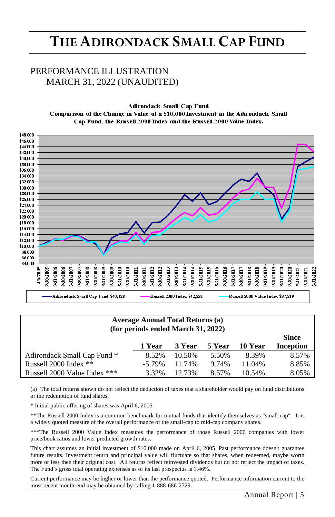## PERFORMANCE ILLUSTRATION MARCH 31, 2022 (UNAUDITED)

**Adirondack Small Cap Fund** Comparison of the Change in Value of a \$10,000 Investment in the Adirondack Small Cap Fund, the Russell 2000 Index and the Russell 2000 Value Index.



| Average Annual Total Returns (a)<br>(for periods ended March 31, 2022) |           |        |       |        |       |  |  |
|------------------------------------------------------------------------|-----------|--------|-------|--------|-------|--|--|
| 5 Year<br>3 Year<br>10 Year<br>1 Year                                  |           |        |       |        |       |  |  |
| Adirondack Small Cap Fund *                                            | 8.52%     | 10.50% | 5.50% | 8.39%  | 8.57% |  |  |
| Russell 2000 Index **                                                  | $-5.79\%$ | 11.74% | 9.74% | 11.04% | 8.85% |  |  |
| Russell 2000 Value Index ***                                           | 3.32%     | 12.73% | 8.57% | 10.54% | 8.05% |  |  |

(a) The total returns shown do not reflect the deduction of taxes that a shareholder would pay on fund distributions or the redemption of fund shares.

\* Initial public offering of shares was April 6, 2005.

\*\*The Russell 2000 Index is a common benchmark for mutual funds that identify themselves as "small-cap". It is a widely quoted measure of the overall performance of the small-cap to mid-cap company shares.

\*\*\*The Russell 2000 Value Index measures the performance of those Russell 2000 companies with lower price/book ratios and lower predicted growth rates.

This chart assumes an initial investment of \$10,000 made on April 6, 2005. Past performance doesn't guarantee future results. Investment return and principal value will fluctuate so that shares, when redeemed, maybe worth more or less then their original cost. All returns reflect reinvested dividends but do not reflect the impact of taxes. The Fund's gross total operating expenses as of its last prospectus is 1.46%.

Current performance may be higher or lower than the performance quoted. Performance information current to the most recent month-end may be obtained by calling 1-888-686-2729.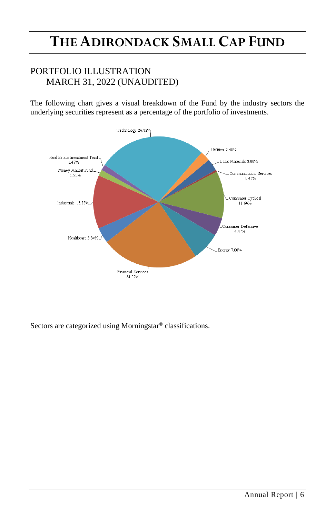## PORTFOLIO ILLUSTRATION MARCH 31, 2022 (UNAUDITED)

The following chart gives a visual breakdown of the Fund by the industry sectors the underlying securities represent as a percentage of the portfolio of investments.



Sectors are categorized using Morningstar® classifications.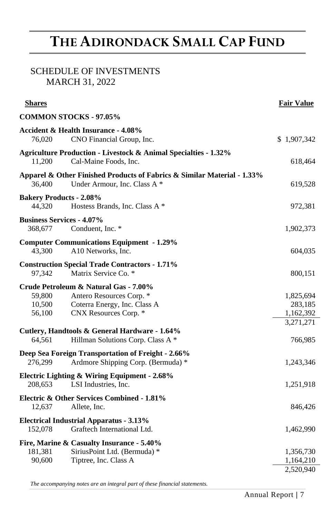## SCHEDULE OF INVESTMENTS MARCH 31, 2022

| <b>Shares</b>                                                                                                                                            | <b>Fair Value</b>                   |
|----------------------------------------------------------------------------------------------------------------------------------------------------------|-------------------------------------|
| <b>COMMON STOCKS - 97.05%</b>                                                                                                                            |                                     |
| Accident & Health Insurance - 4.08%<br>76,020<br>CNO Financial Group, Inc.                                                                               | \$1,907,342                         |
| <b>Agriculture Production - Livestock &amp; Animal Specialties - 1.32%</b><br>11,200<br>Cal-Maine Foods, Inc.                                            | 618,464                             |
| Apparel & Other Finished Products of Fabrics & Similar Material - 1.33%<br>36,400<br>Under Armour, Inc. Class A *                                        | 619,528                             |
| <b>Bakery Products - 2.08%</b><br>44.320<br>Hostess Brands, Inc. Class A *                                                                               | 972,381                             |
| <b>Business Services - 4.07%</b><br>368,677<br>Conduent, Inc. *                                                                                          | 1,902,373                           |
| <b>Computer Communications Equipment - 1.29%</b><br>43,300<br>A10 Networks, Inc.                                                                         | 604,035                             |
| <b>Construction Special Trade Contractors - 1.71%</b><br>Matrix Service Co. *<br>97,342                                                                  | 800,151                             |
| Crude Petroleum & Natural Gas - 7.00%<br>59,800<br>Antero Resources Corp. *<br>10,500<br>Coterra Energy, Inc. Class A<br>56,100<br>CNX Resources Corp. * | 1,825,694<br>283,185<br>1,162,392   |
| Cutlery, Handtools & General Hardware - 1.64%<br>64,561<br>Hillman Solutions Corp. Class A *                                                             | 3,271,271<br>766,985                |
| Deep Sea Foreign Transportation of Freight - 2.66%<br>276,299<br>Ardmore Shipping Corp. (Bermuda) *                                                      | 1,243,346                           |
| Electric Lighting & Wiring Equipment - 2.68%<br>LSI Industries, Inc.<br>208,653                                                                          | 1,251,918                           |
| Electric & Other Services Combined - 1.81%<br>12,637<br>Allete, Inc.                                                                                     | 846,426                             |
| <b>Electrical Industrial Apparatus - 3.13%</b><br>152,078<br>Graftech International Ltd.                                                                 | 1,462,990                           |
| Fire, Marine & Casualty Insurance - 5.40%<br>SiriusPoint Ltd. (Bermuda) *<br>181,381<br>90,600<br>Tiptree, Inc. Class A                                  | 1,356,730<br>1,164,210<br>2,520,940 |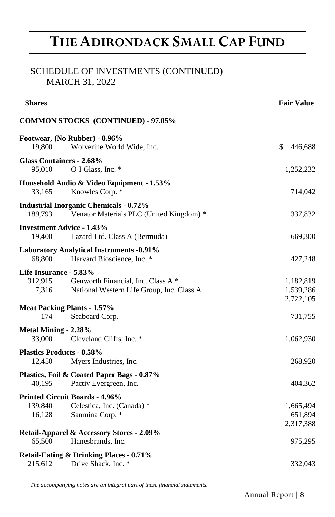## SCHEDULE OF INVESTMENTS (CONTINUED) MARCH 31, 2022

| <b>Shares</b>                              |                                                                                           | <b>Fair Value</b>                   |
|--------------------------------------------|-------------------------------------------------------------------------------------------|-------------------------------------|
|                                            | <b>COMMON STOCKS (CONTINUED) - 97.05%</b>                                                 |                                     |
| 19.800                                     | Footwear, (No Rubber) - 0.96%<br>Wolverine World Wide, Inc.                               | \$<br>446,688                       |
| Glass Containers - 2.68%<br>95.010         | O-I Glass, Inc. *                                                                         | 1,252,232                           |
| 33,165                                     | Household Audio & Video Equipment - 1.53%<br>Knowles Corp. *                              | 714,042                             |
| 189,793                                    | <b>Industrial Inorganic Chemicals - 0.72%</b><br>Venator Materials PLC (United Kingdom) * | 337,832                             |
| <b>Investment Advice - 1.43%</b><br>19,400 | Lazard Ltd. Class A (Bermuda)                                                             | 669,300                             |
| 68,800                                     | <b>Laboratory Analytical Instruments -0.91%</b><br>Harvard Bioscience, Inc. *             | 427,248                             |
| Life Insurance - 5.83%<br>312,915<br>7,316 | Genworth Financial, Inc. Class A *<br>National Western Life Group, Inc. Class A           | 1,182,819<br>1,539,286<br>2,722,105 |
| <b>Meat Packing Plants - 1.57%</b><br>174  | Seaboard Corp.                                                                            | 731,755                             |
| Metal Mining - 2.28%<br>33,000             | Cleveland Cliffs, Inc. *                                                                  | 1,062,930                           |
| <b>Plastics Products - 0.58%</b><br>12,450 | Myers Industries, Inc.                                                                    | 268,920                             |
| 40.195                                     | Plastics, Foil & Coated Paper Bags - 0.87%<br>Pactiv Evergreen, Inc.                      | 404,362                             |
| 139,840<br>16,128                          | <b>Printed Circuit Boards - 4.96%</b><br>Celestica, Inc. (Canada) *<br>Sanmina Corp. *    | 1,665,494<br>651,894<br>2,317,388   |
| 65,500                                     | Retail-Apparel & Accessory Stores - 2.09%<br>Hanesbrands, Inc.                            | 975,295                             |
| 215,612                                    | Retail-Eating & Drinking Places - 0.71%<br>Drive Shack, Inc. *                            | 332,043                             |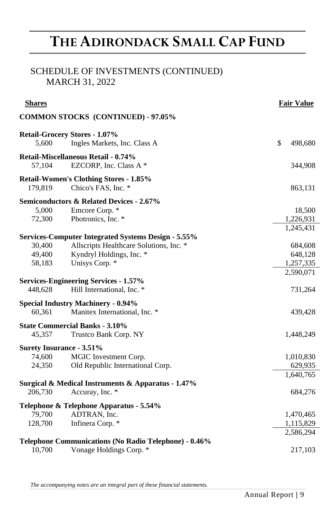## SCHEDULE OF INVESTMENTS (CONTINUED) MARCH 31, 2022

| <b>Shares</b>                   |                                                                            | <b>Fair Value</b> |
|---------------------------------|----------------------------------------------------------------------------|-------------------|
|                                 | <b>COMMON STOCKS (CONTINUED) - 97.05%</b>                                  |                   |
|                                 | <b>Retail-Grocery Stores - 1.07%</b>                                       |                   |
| 5,600                           | Ingles Markets, Inc. Class A                                               | \$<br>498,680     |
|                                 | Retail-Miscellaneous Retail - 0.74%                                        |                   |
| 57,104                          | EZCORP, Inc. Class A *                                                     | 344,908           |
|                                 | <b>Retail-Women's Clothing Stores - 1.85%</b>                              |                   |
| 179,819                         | Chico's FAS, Inc. *                                                        | 863,131           |
|                                 | <b>Semiconductors &amp; Related Devices - 2.67%</b>                        |                   |
| 5,000                           | Emcore Corp. *                                                             | 18,500            |
| 72,300                          | Photronics, Inc. *                                                         | 1,226,931         |
|                                 |                                                                            | 1,245,431         |
|                                 | <b>Services-Computer Integrated Systems Design - 5.55%</b>                 |                   |
| 30,400                          | Allscripts Healthcare Solutions, Inc. *                                    | 684,608           |
| 49,400                          | Kyndryl Holdings, Inc. *                                                   | 648,128           |
| 58,183                          | Unisys Corp. *                                                             | 1,257,335         |
|                                 |                                                                            | 2,590,071         |
| 448,628                         | <b>Services-Engineering Services - 1.57%</b><br>Hill International, Inc. * | 731,264           |
|                                 |                                                                            |                   |
|                                 | <b>Special Industry Machinery - 0.94%</b>                                  |                   |
| 60,361                          | Manitex International, Inc. *                                              | 439,428           |
|                                 | <b>State Commercial Banks - 3.10%</b>                                      |                   |
| 45,357                          | Trustco Bank Corp. NY                                                      | 1,448,249         |
| <b>Surety Insurance - 3.51%</b> |                                                                            |                   |
| 74,600                          | MGIC Investment Corp.                                                      | 1,010,830         |
| 24,350                          | Old Republic International Corp.                                           | 629,935           |
|                                 |                                                                            | 1,640,765         |
|                                 | Surgical & Medical Instruments & Apparatus - 1.47%                         |                   |
| 206,730                         | Accuray, Inc. *                                                            | 684,276           |
|                                 | Telephone & Telephone Apparatus - 5.54%                                    |                   |
| 79,700                          | ADTRAN, Inc.                                                               | 1,470,465         |
| 128,700                         | Infinera Corp. *                                                           | 1,115,829         |
|                                 |                                                                            | 2,586,294         |
|                                 | Telephone Communications (No Radio Telephone) - 0.46%                      |                   |
| 10,700                          | Vonage Holdings Corp. *                                                    | 217,103           |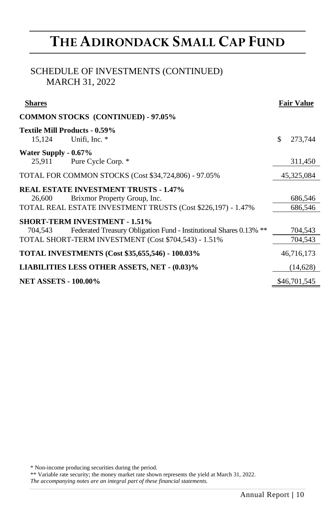## SCHEDULE OF INVESTMENTS (CONTINUED) MARCH 31, 2022

| <b>Shares</b>                                                                                                                                                                 | <b>Fair Value</b>  |
|-------------------------------------------------------------------------------------------------------------------------------------------------------------------------------|--------------------|
| <b>COMMON STOCKS (CONTINUED) - 97.05%</b>                                                                                                                                     |                    |
| Textile Mill Products - 0.59%<br>Unifi, Inc. *<br>15.124                                                                                                                      | \$<br>273,744      |
| Water Supply - 0.67%<br>25,911 Pure Cycle Corp. *                                                                                                                             | 311,450            |
| TOTAL FOR COMMON STOCKS (Cost \$34,724,806) - 97.05%                                                                                                                          | 45,325,084         |
| <b>REAL ESTATE INVESTMENT TRUSTS - 1.47%</b><br>Brixmor Property Group, Inc.<br>26,600<br>TOTAL REAL ESTATE INVESTMENT TRUSTS (Cost \$226,197) - 1.47%                        | 686,546<br>686,546 |
| <b>SHORT-TERM INVESTMENT - 1.51%</b><br>Federated Treasury Obligation Fund - Institutional Shares 0.13% **<br>704.543<br>TOTAL SHORT-TERM INVESTMENT (Cost \$704,543) - 1.51% | 704,543<br>704,543 |
| <b>TOTAL INVESTMENTS (Cost \$35,655,546) - 100.03%</b>                                                                                                                        | 46,716,173         |
| <b>LIABILITIES LESS OTHER ASSETS, NET - (0.03)%</b>                                                                                                                           | (14,628)           |
| <b>NET ASSETS - 100.00%</b>                                                                                                                                                   | \$46,701,545       |

\* Non-income producing securities during the period.

\*\* Variable rate security; the money market rate shown represents the yield at March 31, 2022.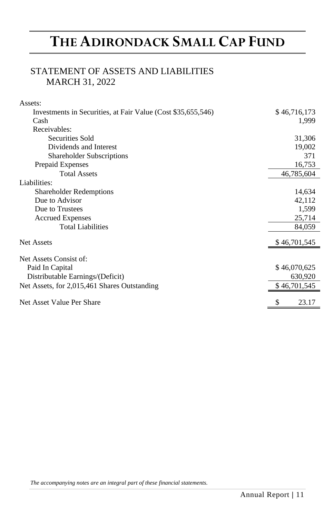## STATEMENT OF ASSETS AND LIABILITIES MARCH 31, 2022

| Assets:                                                      |              |
|--------------------------------------------------------------|--------------|
| Investments in Securities, at Fair Value (Cost \$35,655,546) | \$46,716,173 |
| Cash                                                         | 1,999        |
| Receivables:                                                 |              |
| Securities Sold                                              | 31,306       |
| Dividends and Interest                                       | 19,002       |
| <b>Shareholder Subscriptions</b>                             | 371          |
| Prepaid Expenses                                             | 16,753       |
| <b>Total Assets</b>                                          | 46,785,604   |
| Liabilities:                                                 |              |
| <b>Shareholder Redemptions</b>                               | 14,634       |
| Due to Advisor                                               | 42,112       |
| Due to Trustees                                              | 1,599        |
| <b>Accrued Expenses</b>                                      | 25,714       |
| <b>Total Liabilities</b>                                     | 84,059       |
| Net Assets                                                   | \$46,701,545 |
| Net Assets Consist of:                                       |              |
| Paid In Capital                                              | \$46,070,625 |
| Distributable Earnings/(Deficit)                             | 630,920      |
| Net Assets, for 2,015,461 Shares Outstanding                 | \$46,701,545 |
| Net Asset Value Per Share                                    | \$<br>23.17  |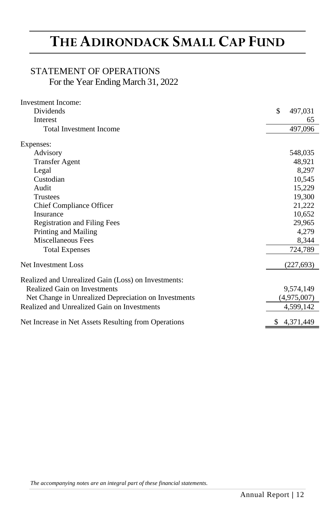## STATEMENT OF OPERATIONS For the Year Ending March 31, 2022

| Investment Income:                                   |               |
|------------------------------------------------------|---------------|
| Dividends                                            | \$<br>497,031 |
| Interest                                             | 65            |
| <b>Total Investment Income</b>                       | 497,096       |
| Expenses:                                            |               |
| Advisory                                             | 548,035       |
| <b>Transfer Agent</b>                                | 48,921        |
| Legal                                                | 8,297         |
| Custodian                                            | 10,545        |
| Audit                                                | 15,229        |
| <b>Trustees</b>                                      | 19,300        |
| Chief Compliance Officer                             | 21,222        |
| Insurance                                            | 10,652        |
| <b>Registration and Filing Fees</b>                  | 29,965        |
| Printing and Mailing                                 | 4,279         |
| Miscellaneous Fees                                   | 8,344         |
| <b>Total Expenses</b>                                | 724,789       |
| Net Investment Loss                                  | (227, 693)    |
| Realized and Unrealized Gain (Loss) on Investments:  |               |
| Realized Gain on Investments                         | 9,574,149     |
| Net Change in Unrealized Depreciation on Investments | (4,975,007)   |
| Realized and Unrealized Gain on Investments          | 4,599,142     |
| Net Increase in Net Assets Resulting from Operations | \$4.371.449   |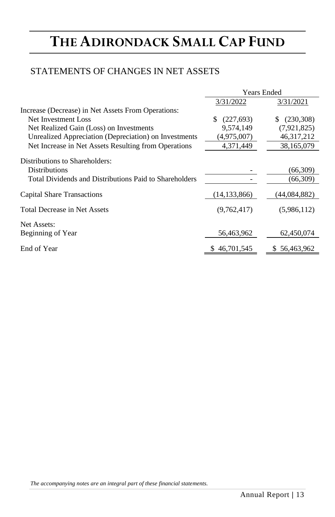## STATEMENTS OF CHANGES IN NET ASSETS

|                                                        | <b>Years Ended</b> |                   |  |
|--------------------------------------------------------|--------------------|-------------------|--|
|                                                        | 3/31/2022          | 3/31/2021         |  |
| Increase (Decrease) in Net Assets From Operations:     |                    |                   |  |
| Net Investment Loss                                    | S<br>(227,693)     | (230, 308)<br>\$. |  |
| Net Realized Gain (Loss) on Investments                | 9.574.149          | (7,921,825)       |  |
| Unrealized Appreciation (Depreciation) on Investments  | (4,975,007)        | 46, 317, 212      |  |
| Net Increase in Net Assets Resulting from Operations   | 4,371,449          | 38,165,079        |  |
| Distributions to Shareholders:                         |                    |                   |  |
| <b>Distributions</b>                                   |                    | (66,309)          |  |
| Total Dividends and Distributions Paid to Shareholders |                    | (66,309)          |  |
| Capital Share Transactions                             | (14, 133, 866)     | (44,084,882)      |  |
| Total Decrease in Net Assets                           | (9,762,417)        | (5,986,112)       |  |
| Net Assets:                                            |                    |                   |  |
| Beginning of Year                                      | 56,463,962         | 62,450,074        |  |
| End of Year                                            | \$46,701,545       | \$56,463,962      |  |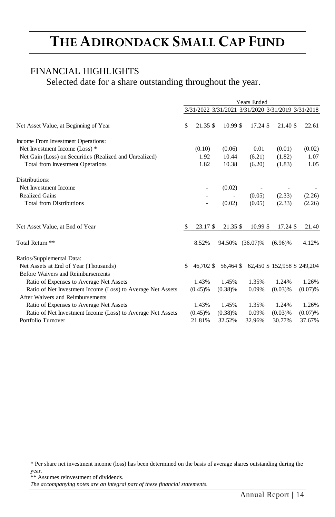### FINANCIAL HIGHLIGHTS

Selected date for a share outstanding throughout the year.

|                                                             | <b>Years Ended</b> |            |           |             |                                                   |         |
|-------------------------------------------------------------|--------------------|------------|-----------|-------------|---------------------------------------------------|---------|
|                                                             |                    |            |           |             | 3/31/2022 3/31/2021 3/31/2020 3/31/2019 3/31/2018 |         |
| Net Asset Value, at Beginning of Year                       | S                  | 21.35 \$   | 10.99 \$  | 17.24 \$    | 21.40 \$                                          | 22.61   |
| Income From Investment Operations:                          |                    |            |           |             |                                                   |         |
| Net Investment Income (Loss) *                              |                    | (0.10)     | (0.06)    | 0.01        | (0.01)                                            | (0.02)  |
| Net Gain (Loss) on Securities (Realized and Unrealized)     |                    | 1.92       | 10.44     | (6.21)      | (1.82)                                            | 1.07    |
| <b>Total from Investment Operations</b>                     |                    | 1.82       | 10.38     | (6.20)      | (1.83)                                            | 1.05    |
| Distributions:                                              |                    |            |           |             |                                                   |         |
| Net Investment Income                                       |                    |            | (0.02)    |             |                                                   |         |
| <b>Realized Gains</b>                                       |                    |            |           | (0.05)      | (2.33)                                            | (2.26)  |
| <b>Total from Distributions</b>                             |                    |            | (0.02)    | (0.05)      | (2.33)                                            | (2.26)  |
|                                                             |                    |            |           |             |                                                   |         |
| Net Asset Value, at End of Year                             | \$                 | 23.17 \$   | 21.35 \$  | 10.99 \$    | 17.24 \$                                          | 21.40   |
| Total Return **                                             |                    | 8.52%      | 94.50%    | $(36.07)\%$ | $(6.96)\%$                                        | 4.12%   |
| Ratios/Supplemental Data:                                   |                    |            |           |             |                                                   |         |
| Net Assets at End of Year (Thousands)                       | S                  | 46.702 \$  | 56,464 \$ |             | 62,450 \$ 152,958 \$ 249,204                      |         |
| Before Waivers and Reimbursements                           |                    |            |           |             |                                                   |         |
| Ratio of Expenses to Average Net Assets                     |                    | 1.43%      | 1.45%     | 1.35%       | 1.24%                                             | 1.26%   |
| Ratio of Net Investment Income (Loss) to Average Net Assets |                    | $(0.45)$ % | (0.38)%   | 0.09%       | (0.03)%                                           | (0.07)% |
| After Waivers and Reimbursements                            |                    |            |           |             |                                                   |         |
| Ratio of Expenses to Average Net Assets                     |                    | 1.43%      | 1.45%     | 1.35%       | 1.24%                                             | 1.26%   |
| Ratio of Net Investment Income (Loss) to Average Net Assets |                    | $(0.45)$ % | (0.38)%   | 0.09%       | (0.03)%                                           | (0.07)% |
| Portfolio Turnover                                          |                    | 21.81%     | 32.52%    | 32.96%      | 30.77%                                            | 37.67%  |

\* Per share net investment income (loss) has been determined on the basis of average shares outstanding during the year.

\*\* Assumes reinvestment of dividends.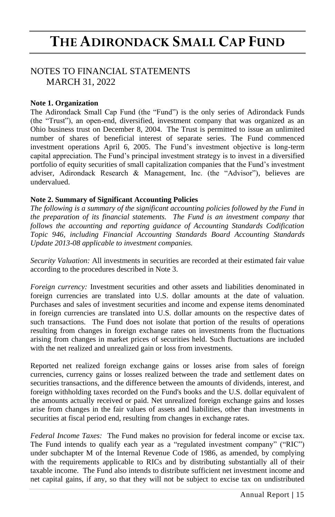### NOTES TO FINANCIAL STATEMENTS MARCH 31, 2022

### **Note 1. Organization**

The Adirondack Small Cap Fund (the "Fund") is the only series of Adirondack Funds (the "Trust"), an open-end, diversified, investment company that was organized as an Ohio business trust on December 8, 2004. The Trust is permitted to issue an unlimited number of shares of beneficial interest of separate series. The Fund commenced investment operations April 6, 2005. The Fund's investment objective is long-term capital appreciation. The Fund's principal investment strategy is to invest in a diversified portfolio of equity securities of small capitalization companies that the Fund's investment adviser, Adirondack Research & Management, Inc. (the "Advisor"), believes are undervalued.

### **Note 2. Summary of Significant Accounting Policies**

*The following is a summary of the significant accounting policies followed by the Fund in the preparation of its financial statements. The Fund is an investment company that follows the accounting and reporting guidance of Accounting Standards Codification Topic 946, including Financial Accounting Standards Board Accounting Standards Update 2013-08 applicable to investment companies.*

*Security Valuation:* All investments in securities are recorded at their estimated fair value according to the procedures described in Note 3.

*Foreign currency:* Investment securities and other assets and liabilities denominated in foreign currencies are translated into U.S. dollar amounts at the date of valuation. Purchases and sales of investment securities and income and expense items denominated in foreign currencies are translated into U.S. dollar amounts on the respective dates of such transactions. The Fund does not isolate that portion of the results of operations resulting from changes in foreign exchange rates on investments from the fluctuations arising from changes in market prices of securities held. Such fluctuations are included with the net realized and unrealized gain or loss from investments.

Reported net realized foreign exchange gains or losses arise from sales of foreign currencies, currency gains or losses realized between the trade and settlement dates on securities transactions, and the difference between the amounts of dividends, interest, and foreign withholding taxes recorded on the Fund's books and the U.S. dollar equivalent of the amounts actually received or paid. Net unrealized foreign exchange gains and losses arise from changes in the fair values of assets and liabilities, other than investments in securities at fiscal period end, resulting from changes in exchange rates.

*Federal Income Taxes:* The Fund makes no provision for federal income or excise tax. The Fund intends to qualify each year as a "regulated investment company" ("RIC") under subchapter M of the Internal Revenue Code of 1986, as amended, by complying with the requirements applicable to RICs and by distributing substantially all of their taxable income. The Fund also intends to distribute sufficient net investment income and net capital gains, if any, so that they will not be subject to excise tax on undistributed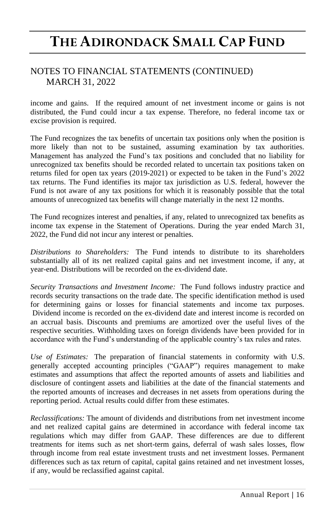## NOTES TO FINANCIAL STATEMENTS (CONTINUED) MARCH 31, 2022

income and gains. If the required amount of net investment income or gains is not distributed, the Fund could incur a tax expense. Therefore, no federal income tax or excise provision is required.

The Fund recognizes the tax benefits of uncertain tax positions only when the position is more likely than not to be sustained, assuming examination by tax authorities. Management has analyzed the Fund's tax positions and concluded that no liability for unrecognized tax benefits should be recorded related to uncertain tax positions taken on returns filed for open tax years (2019-2021) or expected to be taken in the Fund's 2022 tax returns. The Fund identifies its major tax jurisdiction as U.S. federal, however the Fund is not aware of any tax positions for which it is reasonably possible that the total amounts of unrecognized tax benefits will change materially in the next 12 months.

The Fund recognizes interest and penalties, if any, related to unrecognized tax benefits as income tax expense in the Statement of Operations. During the year ended March 31, 2022, the Fund did not incur any interest or penalties.

*Distributions to Shareholders:* The Fund intends to distribute to its shareholders substantially all of its net realized capital gains and net investment income, if any, at year-end. Distributions will be recorded on the ex-dividend date.

*Security Transactions and Investment Income:* The Fund follows industry practice and records security transactions on the trade date. The specific identification method is used for determining gains or losses for financial statements and income tax purposes. Dividend income is recorded on the ex-dividend date and interest income is recorded on an accrual basis. Discounts and premiums are amortized over the useful lives of the respective securities. Withholding taxes on foreign dividends have been provided for in accordance with the Fund's understanding of the applicable country's tax rules and rates.

*Use of Estimates:* The preparation of financial statements in conformity with U.S. generally accepted accounting principles ("GAAP") requires management to make estimates and assumptions that affect the reported amounts of assets and liabilities and disclosure of contingent assets and liabilities at the date of the financial statements and the reported amounts of increases and decreases in net assets from operations during the reporting period. Actual results could differ from these estimates.

*Reclassifications:* The amount of dividends and distributions from net investment income and net realized capital gains are determined in accordance with federal income tax regulations which may differ from GAAP. These differences are due to different treatments for items such as net short-term gains, deferral of wash sales losses, flow through income from real estate investment trusts and net investment losses. Permanent differences such as tax return of capital, capital gains retained and net investment losses, if any, would be reclassified against capital.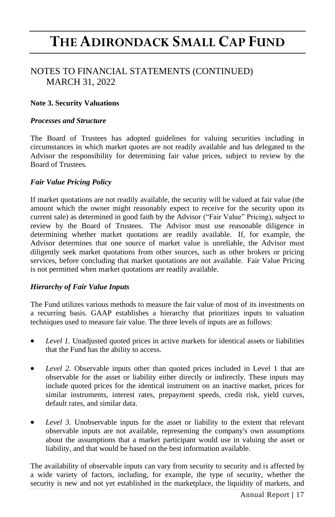## NOTES TO FINANCIAL STATEMENTS (CONTINUED) MARCH 31, 2022

### **Note 3. Security Valuations**

#### *Processes and Structure*

The Board of Trustees has adopted guidelines for valuing securities including in circumstances in which market quotes are not readily available and has delegated to the Advisor the responsibility for determining fair value prices, subject to review by the Board of Trustees.

#### *Fair Value Pricing Policy*

If market quotations are not readily available, the security will be valued at fair value (the amount which the owner might reasonably expect to receive for the security upon its current sale) as determined in good faith by the Advisor ("Fair Value" Pricing), subject to review by the Board of Trustees. The Advisor must use reasonable diligence in determining whether market quotations are readily available. If, for example, the Advisor determines that one source of market value is unreliable, the Advisor must diligently seek market quotations from other sources, such as other brokers or pricing services, before concluding that market quotations are not available. Fair Value Pricing is not permitted when market quotations are readily available.

#### *Hierarchy of Fair Value Inputs*

The Fund utilizes various methods to measure the fair value of most of its investments on a recurring basis. GAAP establishes a hierarchy that prioritizes inputs to valuation techniques used to measure fair value. The three levels of inputs are as follows:

- *Level 1.* Unadjusted quoted prices in active markets for identical assets or liabilities that the Fund has the ability to access.
- *Level 2.* Observable inputs other than quoted prices included in Level 1 that are observable for the asset or liability either directly or indirectly. These inputs may include quoted prices for the identical instrument on an inactive market, prices for similar instruments, interest rates, prepayment speeds, credit risk, yield curves, default rates, and similar data.
- *Level 3.* Unobservable inputs for the asset or liability to the extent that relevant observable inputs are not available, representing the company's own assumptions about the assumptions that a market participant would use in valuing the asset or liability, and that would be based on the best information available.

The availability of observable inputs can vary from security to security and is affected by a wide variety of factors, including, for example, the type of security, whether the security is new and not yet established in the marketplace, the liquidity of markets, and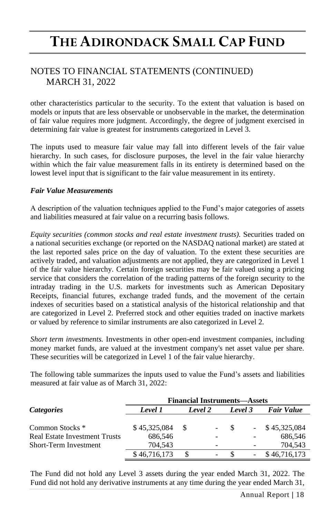## NOTES TO FINANCIAL STATEMENTS (CONTINUED) MARCH 31, 2022

other characteristics particular to the security. To the extent that valuation is based on models or inputs that are less observable or unobservable in the market, the determination of fair value requires more judgment. Accordingly, the degree of judgment exercised in determining fair value is greatest for instruments categorized in Level 3.

The inputs used to measure fair value may fall into different levels of the fair value hierarchy. In such cases, for disclosure purposes, the level in the fair value hierarchy within which the fair value measurement falls in its entirety is determined based on the lowest level input that is significant to the fair value measurement in its entirety.

### *Fair Value Measurements*

A description of the valuation techniques applied to the Fund's major categories of assets and liabilities measured at fair value on a recurring basis follows.

*Equity securities (common stocks and real estate investment trusts).* Securities traded on a national securities exchange (or reported on the NASDAQ national market) are stated at the last reported sales price on the day of valuation. To the extent these securities are actively traded, and valuation adjustments are not applied, they are categorized in Level 1 of the fair value hierarchy. Certain foreign securities may be fair valued using a pricing service that considers the correlation of the trading patterns of the foreign security to the intraday trading in the U.S. markets for investments such as American Depositary Receipts, financial futures, exchange traded funds, and the movement of the certain indexes of securities based on a statistical analysis of the historical relationship and that are categorized in Level 2. Preferred stock and other equities traded on inactive markets or valued by reference to similar instruments are also categorized in Level 2.

*Short term investments.* Investments in other open-end investment companies, including money market funds, are valued at the investment company's net asset value per share. These securities will be categorized in Level 1 of the fair value hierarchy.

The following table summarizes the inputs used to value the Fund's assets and liabilities measured at fair value as of March 31, 2022:

|                                      | <b>Financial Instruments—Assets</b> |         |        |         |  |                   |  |
|--------------------------------------|-------------------------------------|---------|--------|---------|--|-------------------|--|
| <i>Categories</i>                    | Level 1                             | Level 2 |        | Level 3 |  | <b>Fair Value</b> |  |
|                                      |                                     |         |        |         |  |                   |  |
| Common Stocks <sup>*</sup>           | \$45,325,084                        | -8      | $\sim$ |         |  | \$45,325,084      |  |
| <b>Real Estate Investment Trusts</b> | 686.546                             |         |        |         |  | 686,546           |  |
| <b>Short-Term Investment</b>         | 704.543                             |         |        |         |  | 704.543           |  |
|                                      | \$46,716,173                        |         |        |         |  | \$46,716,173      |  |

The Fund did not hold any Level 3 assets during the year ended March 31, 2022. The Fund did not hold any derivative instruments at any time during the year ended March 31,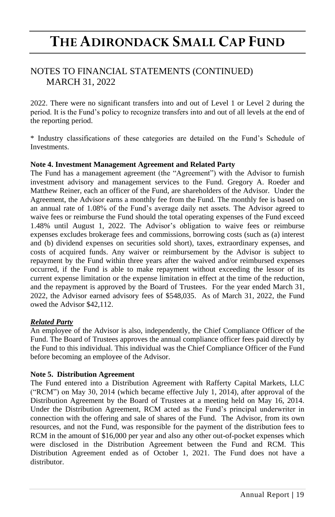## NOTES TO FINANCIAL STATEMENTS (CONTINUED) MARCH 31, 2022

2022. There were no significant transfers into and out of Level 1 or Level 2 during the period. It is the Fund's policy to recognize transfers into and out of all levels at the end of the reporting period.

\* Industry classifications of these categories are detailed on the Fund's Schedule of Investments.

### **Note 4. Investment Management Agreement and Related Party**

The Fund has a management agreement (the "Agreement") with the Advisor to furnish investment advisory and management services to the Fund. Gregory A. Roeder and Matthew Reiner, each an officer of the Fund, are shareholders of the Advisor. Under the Agreement, the Advisor earns a monthly fee from the Fund. The monthly fee is based on an annual rate of 1.08% of the Fund's average daily net assets. The Advisor agreed to waive fees or reimburse the Fund should the total operating expenses of the Fund exceed 1.48% until August 1, 2022. The Advisor's obligation to waive fees or reimburse expenses excludes brokerage fees and commissions, borrowing costs (such as (a) interest and (b) dividend expenses on securities sold short), taxes, extraordinary expenses, and costs of acquired funds. Any waiver or reimbursement by the Advisor is subject to repayment by the Fund within three years after the waived and/or reimbursed expenses occurred, if the Fund is able to make repayment without exceeding the lessor of its current expense limitation or the expense limitation in effect at the time of the reduction, and the repayment is approved by the Board of Trustees. For the year ended March 31, 2022, the Advisor earned advisory fees of \$548,035. As of March 31, 2022, the Fund owed the Advisor \$42,112.

### *Related Party*

An employee of the Advisor is also, independently, the Chief Compliance Officer of the Fund. The Board of Trustees approves the annual compliance officer fees paid directly by the Fund to this individual. This individual was the Chief Compliance Officer of the Fund before becoming an employee of the Advisor.

#### **Note 5. Distribution Agreement**

The Fund entered into a Distribution Agreement with Rafferty Capital Markets, LLC ("RCM") on May 30, 2014 (which became effective July 1, 2014), after approval of the Distribution Agreement by the Board of Trustees at a meeting held on May 16, 2014. Under the Distribution Agreement, RCM acted as the Fund's principal underwriter in connection with the offering and sale of shares of the Fund. The Advisor, from its own resources, and not the Fund, was responsible for the payment of the distribution fees to RCM in the amount of \$16,000 per year and also any other out-of-pocket expenses which were disclosed in the Distribution Agreement between the Fund and RCM. This Distribution Agreement ended as of October 1, 2021. The Fund does not have a distributor.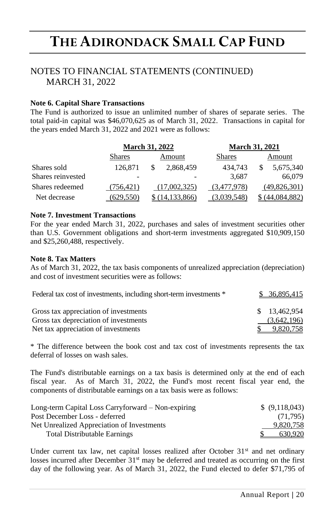## NOTES TO FINANCIAL STATEMENTS (CONTINUED) MARCH 31, 2022

### **Note 6. Capital Share Transactions**

The Fund is authorized to issue an unlimited number of shares of separate series. The total paid-in capital was \$46,070,625 as of March 31, 2022. Transactions in capital for the years ended March 31, 2022 and 2021 were as follows:

|                   |               | <b>March 31, 2022</b> |             | <b>March 31, 2021</b> |
|-------------------|---------------|-----------------------|-------------|-----------------------|
|                   | <b>Shares</b> | Amount                | Shares      | Amount                |
| Shares sold       | 126,871       | 2,868,459             | 434.743     | 5,675,340             |
| Shares reinvested |               |                       | 3.687       | 66,079                |
| Shares redeemed   | (756.421)     | (17.002.325)          | (3.477.978) | (49,826,301)          |
| Net decrease      | (629.550)     | 14.133.866)           | 3,039,548)  | (44.084.882)          |

### **Note 7. Investment Transactions**

For the year ended March 31, 2022, purchases and sales of investment securities other than U.S. Government obligations and short-term investments aggregated \$10,909,150 and \$25,260,488, respectively.

#### **Note 8. Tax Matters**

As of March 31, 2022, the tax basis components of unrealized appreciation (depreciation) and cost of investment securities were as follows:

| Federal tax cost of investments, including short-term investments * | \$ 36,895,415 |
|---------------------------------------------------------------------|---------------|
| Gross tax appreciation of investments                               | \$13,462,954  |
| Gross tax depreciation of investments                               | (3,642,196)   |
| Net tax appreciation of investments                                 | 9.820.758     |

\* The difference between the book cost and tax cost of investments represents the tax deferral of losses on wash sales.

The Fund's distributable earnings on a tax basis is determined only at the end of each fiscal year. As of March 31, 2022, the Fund's most recent fiscal year end, the components of distributable earnings on a tax basis were as follows:

| Long-term Capital Loss Carryforward – Non-expiring | \$ (9,118,043) |
|----------------------------------------------------|----------------|
| Post December Loss - deferred                      | (71.795)       |
| Net Unrealized Appreciation of Investments         | 9.820.758      |
| <b>Total Distributable Earnings</b>                | 630.920        |

Under current tax law, net capital losses realized after October  $31<sup>st</sup>$  and net ordinary losses incurred after December  $31<sup>st</sup>$  may be deferred and treated as occurring on the first day of the following year. As of March 31, 2022, the Fund elected to defer \$71,795 of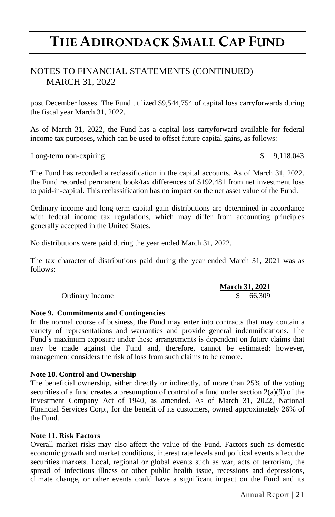### NOTES TO FINANCIAL STATEMENTS (CONTINUED) MARCH 31, 2022

post December losses. The Fund utilized \$9,544,754 of capital loss carryforwards during the fiscal year March 31, 2022.

As of March 31, 2022, the Fund has a capital loss carryforward available for federal income tax purposes, which can be used to offset future capital gains, as follows:

Long-term non-expiring  $\qquad$   $\qquad$  9,118,043

The Fund has recorded a reclassification in the capital accounts. As of March 31, 2022, the Fund recorded permanent book/tax differences of \$192,481 from net investment loss to paid-in-capital. This reclassification has no impact on the net asset value of the Fund.

Ordinary income and long-term capital gain distributions are determined in accordance with federal income tax regulations, which may differ from accounting principles generally accepted in the United States.

No distributions were paid during the year ended March 31, 2022.

The tax character of distributions paid during the year ended March 31, 2021 was as follows:

|                 | <b>March 31, 2021</b> |
|-----------------|-----------------------|
| Ordinary Income | 66.309                |

### **Note 9. Commitments and Contingencies**

In the normal course of business, the Fund may enter into contracts that may contain a variety of representations and warranties and provide general indemnifications. The Fund's maximum exposure under these arrangements is dependent on future claims that may be made against the Fund and, therefore, cannot be estimated; however, management considers the risk of loss from such claims to be remote.

### **Note 10. Control and Ownership**

The beneficial ownership, either directly or indirectly, of more than 25% of the voting securities of a fund creates a presumption of control of a fund under section 2(a)(9) of the Investment Company Act of 1940, as amended. As of March 31, 2022, National Financial Services Corp., for the benefit of its customers, owned approximately 26% of the Fund.

### **Note 11. Risk Factors**

Overall market risks may also affect the value of the Fund. Factors such as domestic economic growth and market conditions, interest rate levels and political events affect the securities markets. Local, regional or global events such as war, acts of terrorism, the spread of infectious illness or other public health issue, recessions and depressions, climate change, or other events could have a significant impact on the Fund and its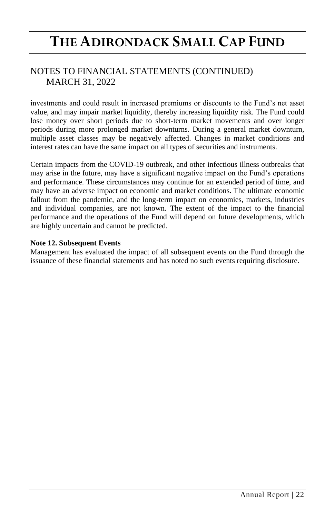## NOTES TO FINANCIAL STATEMENTS (CONTINUED) MARCH 31, 2022

investments and could result in increased premiums or discounts to the Fund's net asset value, and may impair market liquidity, thereby increasing liquidity risk. The Fund could lose money over short periods due to short-term market movements and over longer periods during more prolonged market downturns. During a general market downturn, multiple asset classes may be negatively affected. Changes in market conditions and interest rates can have the same impact on all types of securities and instruments.

Certain impacts from the COVID-19 outbreak, and other infectious illness outbreaks that may arise in the future, may have a significant negative impact on the Fund's operations and performance. These circumstances may continue for an extended period of time, and may have an adverse impact on economic and market conditions. The ultimate economic fallout from the pandemic, and the long-term impact on economies, markets, industries and individual companies, are not known. The extent of the impact to the financial performance and the operations of the Fund will depend on future developments, which are highly uncertain and cannot be predicted.

### **Note 12. Subsequent Events**

Management has evaluated the impact of all subsequent events on the Fund through the issuance of these financial statements and has noted no such events requiring disclosure.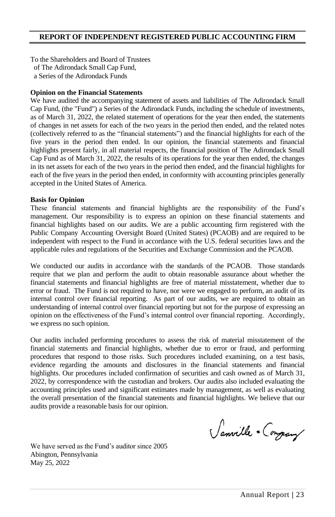### **REPORT OF INDEPENDENT REGISTERED PUBLIC ACCOUNTING FIRM**

To the Shareholders and Board of Trustees of The Adirondack Small Cap Fund, a Series of the Adirondack Funds

#### **Opinion on the Financial Statements**

We have audited the accompanying statement of assets and liabilities of The Adirondack Small Cap Fund, (the "Fund") a Series of the Adirondack Funds, including the schedule of investments, as of March 31, 2022, the related statement of operations for the year then ended, the statements of changes in net assets for each of the two years in the period then ended, and the related notes (collectively referred to as the "financial statements") and the financial highlights for each of the five years in the period then ended. In our opinion, the financial statements and financial highlights present fairly, in all material respects, the financial position of The Adirondack Small Cap Fund as of March 31, 2022, the results of its operations for the year then ended, the changes in its net assets for each of the two years in the period then ended, and the financial highlights for each of the five years in the period then ended, in conformity with accounting principles generally accepted in the United States of America.

#### **Basis for Opinion**

These financial statements and financial highlights are the responsibility of the Fund's management. Our responsibility is to express an opinion on these financial statements and financial highlights based on our audits. We are a public accounting firm registered with the Public Company Accounting Oversight Board (United States) (PCAOB) and are required to be independent with respect to the Fund in accordance with the U.S. federal securities laws and the applicable rules and regulations of the Securities and Exchange Commission and the PCAOB.

We conducted our audits in accordance with the standards of the PCAOB. Those standards require that we plan and perform the audit to obtain reasonable assurance about whether the financial statements and financial highlights are free of material misstatement, whether due to error or fraud. The Fund is not required to have, nor were we engaged to perform, an audit of its internal control over financial reporting. As part of our audits, we are required to obtain an understanding of internal control over financial reporting but not for the purpose of expressing an opinion on the effectiveness of the Fund's internal control over financial reporting. Accordingly, we express no such opinion.

Our audits included performing procedures to assess the risk of material misstatement of the financial statements and financial highlights, whether due to error or fraud, and performing procedures that respond to those risks. Such procedures included examining, on a test basis, evidence regarding the amounts and disclosures in the financial statements and financial highlights. Our procedures included confirmation of securities and cash owned as of March 31, 2022, by correspondence with the custodian and brokers. Our audits also included evaluating the accounting principles used and significant estimates made by management, as well as evaluating the overall presentation of the financial statements and financial highlights. We believe that our audits provide a reasonable basis for our opinion.

Sanville + Congrany

We have served as the Fund's auditor since 2005 Abington, Pennsylvania May 25, 2022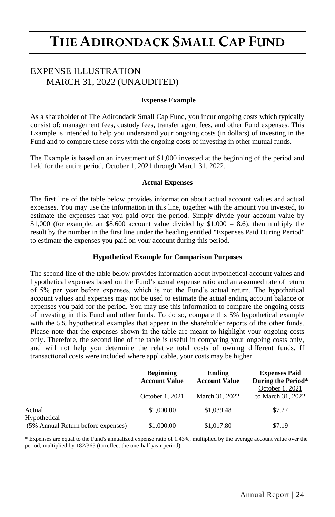### EXPENSE ILLUSTRATION MARCH 31, 2022 (UNAUDITED)

#### **Expense Example**

As a shareholder of The Adirondack Small Cap Fund, you incur ongoing costs which typically consist of: management fees, custody fees, transfer agent fees, and other Fund expenses. This Example is intended to help you understand your ongoing costs (in dollars) of investing in the Fund and to compare these costs with the ongoing costs of investing in other mutual funds.

The Example is based on an investment of \$1,000 invested at the beginning of the period and held for the entire period, October 1, 2021 through March 31, 2022.

#### **Actual Expenses**

The first line of the table below provides information about actual account values and actual expenses. You may use the information in this line, together with the amount you invested, to estimate the expenses that you paid over the period. Simply divide your account value by \$1,000 (for example, an \$8,600 account value divided by \$1,000 = 8.6), then multiply the result by the number in the first line under the heading entitled "Expenses Paid During Period" to estimate the expenses you paid on your account during this period.

#### **Hypothetical Example for Comparison Purposes**

The second line of the table below provides information about hypothetical account values and hypothetical expenses based on the Fund's actual expense ratio and an assumed rate of return of 5% per year before expenses, which is not the Fund's actual return. The hypothetical account values and expenses may not be used to estimate the actual ending account balance or expenses you paid for the period. You may use this information to compare the ongoing costs of investing in this Fund and other funds. To do so, compare this 5% hypothetical example with the 5% hypothetical examples that appear in the shareholder reports of the other funds. Please note that the expenses shown in the table are meant to highlight your ongoing costs only. Therefore, the second line of the table is useful in comparing your ongoing costs only, and will not help you determine the relative total costs of owning different funds. If transactional costs were included where applicable, your costs may be higher.

|                                    | <b>Beginning</b><br>Ending<br><b>Account Value</b><br><b>Account Value</b> |                | <b>Expenses Paid</b><br>During the Period* |  |
|------------------------------------|----------------------------------------------------------------------------|----------------|--------------------------------------------|--|
|                                    | October 1, 2021                                                            | March 31, 2022 | October 1, 2021<br>to March 31, 2022       |  |
| Actual<br>Hypothetical             | \$1,000.00                                                                 | \$1,039.48     | \$7.27                                     |  |
| (5% Annual Return before expenses) | \$1,000.00                                                                 | \$1,017.80     | \$7.19                                     |  |

\* Expenses are equal to the Fund's annualized expense ratio of 1.43%, multiplied by the average account value over the period, multiplied by 182/365 (to reflect the one-half year period).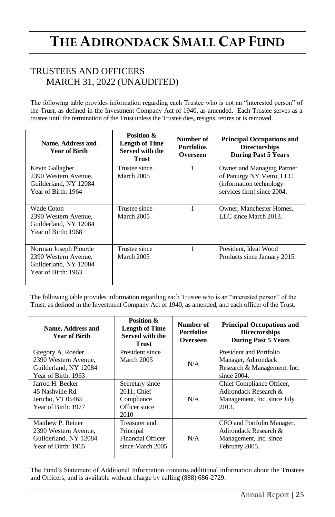## TRUSTEES AND OFFICERS MARCH 31, 2022 (UNAUDITED)

The following table provides information regarding each Trustee who is not an "interested person" of the Trust, as defined in the Investment Company Act of 1940, as amended. Each Trustee serves as a trustee until the termination of the Trust unless the Trustee dies, resigns, retires or is removed.

| Name, Address and<br>Year of Birth                                                            | Position &<br><b>Length of Time</b><br>Served with the<br><b>Trust</b> | Number of<br><b>Portfolios</b><br>Overseen | <b>Principal Occupations and</b><br><b>Directorships</b><br><b>During Past 5 Years</b>                           |
|-----------------------------------------------------------------------------------------------|------------------------------------------------------------------------|--------------------------------------------|------------------------------------------------------------------------------------------------------------------|
| Kevin Gallagher<br>2390 Western Avenue.<br>Guilderland, NY 12084<br>Year of Birth: 1964       | Trustee since<br>March 2005                                            | 1                                          | Owner and Managing Partner<br>of Panurgy NY Metro, LLC<br>(information technology)<br>services firm) since 2004. |
| Wade Coton<br>2390 Western Avenue.<br>Guilderland, NY 12084<br>Year of Birth: 1968            | Trustee since<br>March 2005                                            | 1                                          | Owner, Manchester Homes,<br>LLC since March 2013.                                                                |
| Norman Joseph Plourde<br>2390 Western Avenue,<br>Guilderland, NY 12084<br>Year of Birth: 1963 | Trustee since<br>March 2005                                            |                                            | President, Ideal Wood<br>Products since January 2015.                                                            |

The following table provides information regarding each Trustee who is an "interested person" of the Trust, as defined in the Investment Company Act of 1940, as amended, and each officer of the Trust.

| Name, Address and<br><b>Year of Birth</b>                                                 | Position &<br><b>Length of Time</b><br>Served with the<br>Trust            | Number of<br><b>Portfolios</b><br>Overseen | <b>Principal Occupations and</b><br><b>Directorships</b><br><b>During Past 5 Years</b>          |
|-------------------------------------------------------------------------------------------|----------------------------------------------------------------------------|--------------------------------------------|-------------------------------------------------------------------------------------------------|
| Gregory A. Roeder<br>2390 Western Avenue.<br>Guilderland, NY 12084<br>Year of Birth: 1963 | President since<br>March 2005                                              | N/A                                        | President and Portfolio<br>Manager, Adirondack<br>Research & Management, Inc.<br>since $2004$ . |
| Jarrod H. Becker<br>45 Nashville Rd.<br>Jericho, VT 05465<br>Year of Birth: 1977          | Secretary since<br>2011; Chief<br>Compliance<br>Officer since<br>2010      | N/A                                        | Chief Compliance Officer,<br>Adirondack Research &<br>Management, Inc. since July<br>2013.      |
| Matthew P. Reiner<br>2390 Western Avenue.<br>Guilderland, NY 12084<br>Year of Birth: 1965 | Treasurer and<br>Principal<br><b>Financial Officer</b><br>since March 2005 | N/A                                        | CFO and Portfolio Manager,<br>Adirondack Research &<br>Management, Inc. since<br>February 2005. |

The Fund's Statement of Additional Information contains additional information about the Trustees and Officers, and is available without charge by calling (888) 686-2729.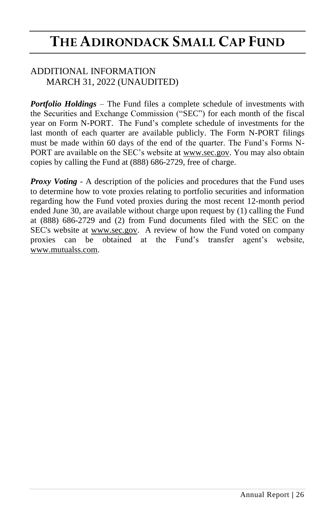### ADDITIONAL INFORMATION MARCH 31, 2022 (UNAUDITED)

*Portfolio Holdings* – The Fund files a complete schedule of investments with the Securities and Exchange Commission ("SEC") for each month of the fiscal year on Form N-PORT. The Fund's complete schedule of investments for the last month of each quarter are available publicly. The Form N-PORT filings must be made within 60 days of the end of the quarter. The Fund's Forms N-PORT are available on the SEC's website at www.sec.gov. You may also obtain copies by calling the Fund at (888) 686-2729, free of charge.

*Proxy Voting - A description of the policies and procedures that the Fund uses* to determine how to vote proxies relating to portfolio securities and information regarding how the Fund voted proxies during the most recent 12-month period ended June 30, are available without charge upon request by (1) calling the Fund at (888) 686-2729 and (2) from Fund documents filed with the SEC on the SEC's website at www.sec.gov. A review of how the Fund voted on company proxies can be obtained at the Fund's transfer agent's website, www.mutualss.com.